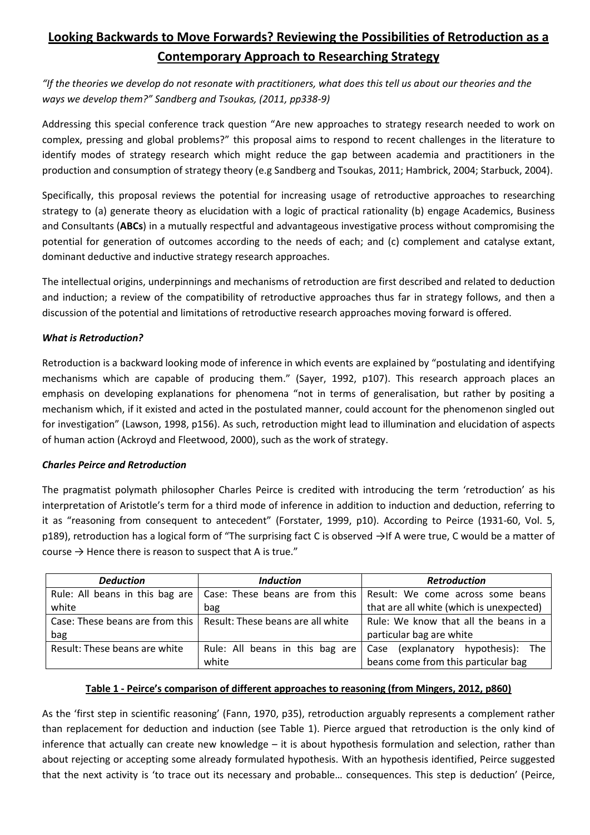# **Looking Backwards to Move Forwards? Reviewing the Possibilities of Retroduction as a Contemporary Approach to Researching Strategy**

*"If the theories we develop do not resonate with practitioners, what does this tell us about our theories and the ways we develop them?" Sandberg and Tsoukas, (2011, pp338-9)*

Addressing this special conference track question "Are new approaches to strategy research needed to work on complex, pressing and global problems?" this proposal aims to respond to recent challenges in the literature to identify modes of strategy research which might reduce the gap between academia and practitioners in the production and consumption of strategy theory (e.g Sandberg and Tsoukas, 2011; Hambrick, 2004; Starbuck, 2004).

Specifically, this proposal reviews the potential for increasing usage of retroductive approaches to researching strategy to (a) generate theory as elucidation with a logic of practical rationality (b) engage Academics, Business and Consultants (**ABCs**) in a mutually respectful and advantageous investigative process without compromising the potential for generation of outcomes according to the needs of each; and (c) complement and catalyse extant, dominant deductive and inductive strategy research approaches.

The intellectual origins, underpinnings and mechanisms of retroduction are first described and related to deduction and induction; a review of the compatibility of retroductive approaches thus far in strategy follows, and then a discussion of the potential and limitations of retroductive research approaches moving forward is offered.

## *What is Retroduction?*

Retroduction is a backward looking mode of inference in which events are explained by "postulating and identifying mechanisms which are capable of producing them." (Sayer, 1992, p107). This research approach places an emphasis on developing explanations for phenomena "not in terms of generalisation, but rather by positing a mechanism which, if it existed and acted in the postulated manner, could account for the phenomenon singled out for investigation" (Lawson, 1998, p156). As such, retroduction might lead to illumination and elucidation of aspects of human action (Ackroyd and Fleetwood, 2000), such as the work of strategy.

## *Charles Peirce and Retroduction*

The pragmatist polymath philosopher Charles Peirce is credited with introducing the term 'retroduction' as his interpretation of Aristotle's term for a third mode of inference in addition to induction and deduction, referring to it as "reasoning from consequent to antecedent" (Forstater, 1999, p10). According to Peirce (1931-60, Vol. 5, p189), retroduction has a logical form of "The surprising fact C is observed →If A were true, C would be a matter of course  $\rightarrow$  Hence there is reason to suspect that A is true."

| <b>Deduction</b>                | <b>Induction</b>                                                    | <b>Retroduction</b>                                                 |  |
|---------------------------------|---------------------------------------------------------------------|---------------------------------------------------------------------|--|
| Rule: All beans in this bag are |                                                                     | Case: These beans are from this   Result: We come across some beans |  |
| white                           | bag                                                                 | that are all white (which is unexpected)                            |  |
|                                 | Case: These beans are from this   Result: These beans are all white | Rule: We know that all the beans in a                               |  |
| bag                             |                                                                     | particular bag are white                                            |  |
| Result: These beans are white   | Rule: All beans in this bag are                                     | Case (explanatory hypothesis): The                                  |  |
|                                 | white                                                               | beans come from this particular bag                                 |  |

# **Table 1 - Peirce's comparison of different approaches to reasoning (from Mingers, 2012, p860)**

As the 'first step in scientific reasoning' (Fann, 1970, p35), retroduction arguably represents a complement rather than replacement for deduction and induction (see Table 1). Pierce argued that retroduction is the only kind of inference that actually can create new knowledge – it is about hypothesis formulation and selection, rather than about rejecting or accepting some already formulated hypothesis. With an hypothesis identified, Peirce suggested that the next activity is 'to trace out its necessary and probable… consequences. This step is deduction' (Peirce,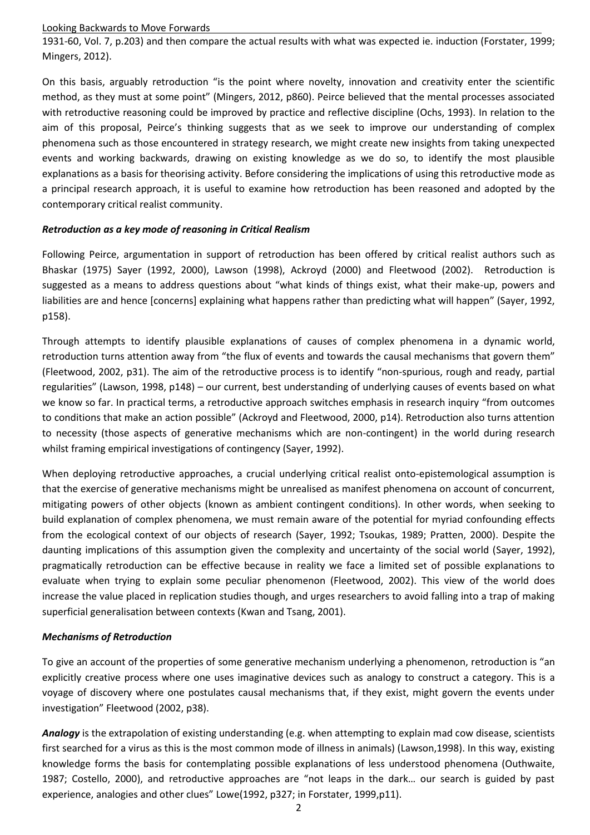1931-60, Vol. 7, p.203) and then compare the actual results with what was expected ie. induction (Forstater, 1999; Mingers, 2012).

On this basis, arguably retroduction "is the point where novelty, innovation and creativity enter the scientific method, as they must at some point" (Mingers, 2012, p860). Peirce believed that the mental processes associated with retroductive reasoning could be improved by practice and reflective discipline (Ochs, 1993). In relation to the aim of this proposal, Peirce's thinking suggests that as we seek to improve our understanding of complex phenomena such as those encountered in strategy research, we might create new insights from taking unexpected events and working backwards, drawing on existing knowledge as we do so, to identify the most plausible explanations as a basis for theorising activity. Before considering the implications of using this retroductive mode as a principal research approach, it is useful to examine how retroduction has been reasoned and adopted by the contemporary critical realist community.

## *Retroduction as a key mode of reasoning in Critical Realism*

Following Peirce, argumentation in support of retroduction has been offered by critical realist authors such as Bhaskar (1975) Sayer (1992, 2000), Lawson (1998), Ackroyd (2000) and Fleetwood (2002). Retroduction is suggested as a means to address questions about "what kinds of things exist, what their make-up, powers and liabilities are and hence [concerns] explaining what happens rather than predicting what will happen" (Sayer, 1992, p158).

Through attempts to identify plausible explanations of causes of complex phenomena in a dynamic world, retroduction turns attention away from "the flux of events and towards the causal mechanisms that govern them" (Fleetwood, 2002, p31). The aim of the retroductive process is to identify "non-spurious, rough and ready, partial regularities" (Lawson, 1998, p148) – our current, best understanding of underlying causes of events based on what we know so far. In practical terms, a retroductive approach switches emphasis in research inquiry "from outcomes to conditions that make an action possible" (Ackroyd and Fleetwood, 2000, p14). Retroduction also turns attention to necessity (those aspects of generative mechanisms which are non-contingent) in the world during research whilst framing empirical investigations of contingency (Sayer, 1992).

When deploying retroductive approaches, a crucial underlying critical realist onto-epistemological assumption is that the exercise of generative mechanisms might be unrealised as manifest phenomena on account of concurrent, mitigating powers of other objects (known as ambient contingent conditions). In other words, when seeking to build explanation of complex phenomena, we must remain aware of the potential for myriad confounding effects from the ecological context of our objects of research (Sayer, 1992; Tsoukas, 1989; Pratten, 2000). Despite the daunting implications of this assumption given the complexity and uncertainty of the social world (Sayer, 1992), pragmatically retroduction can be effective because in reality we face a limited set of possible explanations to evaluate when trying to explain some peculiar phenomenon (Fleetwood, 2002). This view of the world does increase the value placed in replication studies though, and urges researchers to avoid falling into a trap of making superficial generalisation between contexts (Kwan and Tsang, 2001).

## *Mechanisms of Retroduction*

To give an account of the properties of some generative mechanism underlying a phenomenon, retroduction is "an explicitly creative process where one uses imaginative devices such as analogy to construct a category. This is a voyage of discovery where one postulates causal mechanisms that, if they exist, might govern the events under investigation" Fleetwood (2002, p38).

*Analogy* is the extrapolation of existing understanding (e.g. when attempting to explain mad cow disease, scientists first searched for a virus as this is the most common mode of illness in animals) (Lawson,1998). In this way, existing knowledge forms the basis for contemplating possible explanations of less understood phenomena (Outhwaite, 1987; Costello, 2000), and retroductive approaches are "not leaps in the dark… our search is guided by past experience, analogies and other clues" Lowe(1992, p327; in Forstater, 1999,p11).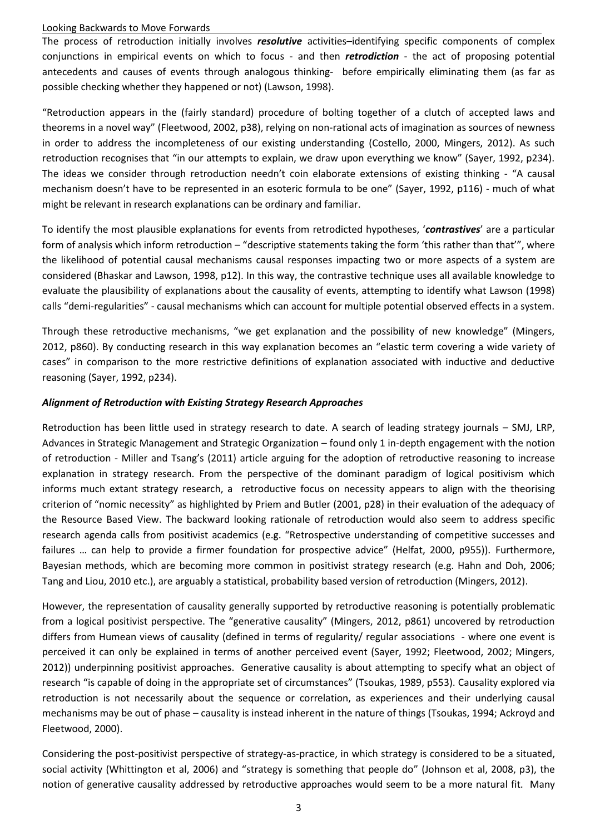The process of retroduction initially involves *resolutive* activities–identifying specific components of complex conjunctions in empirical events on which to focus - and then *retrodiction* - the act of proposing potential antecedents and causes of events through analogous thinking- before empirically eliminating them (as far as possible checking whether they happened or not) (Lawson, 1998).

"Retroduction appears in the (fairly standard) procedure of bolting together of a clutch of accepted laws and theorems in a novel way" (Fleetwood, 2002, p38), relying on non-rational acts of imagination as sources of newness in order to address the incompleteness of our existing understanding (Costello, 2000, Mingers, 2012). As such retroduction recognises that "in our attempts to explain, we draw upon everything we know" (Sayer, 1992, p234). The ideas we consider through retroduction needn't coin elaborate extensions of existing thinking - "A causal mechanism doesn't have to be represented in an esoteric formula to be one" (Sayer, 1992, p116) - much of what might be relevant in research explanations can be ordinary and familiar.

To identify the most plausible explanations for events from retrodicted hypotheses, '*contrastives*' are a particular form of analysis which inform retroduction – "descriptive statements taking the form 'this rather than that'", where the likelihood of potential causal mechanisms causal responses impacting two or more aspects of a system are considered (Bhaskar and Lawson, 1998, p12). In this way, the contrastive technique uses all available knowledge to evaluate the plausibility of explanations about the causality of events, attempting to identify what Lawson (1998) calls "demi-regularities" - causal mechanisms which can account for multiple potential observed effects in a system.

Through these retroductive mechanisms, "we get explanation and the possibility of new knowledge" (Mingers, 2012, p860). By conducting research in this way explanation becomes an "elastic term covering a wide variety of cases" in comparison to the more restrictive definitions of explanation associated with inductive and deductive reasoning (Sayer, 1992, p234).

## *Alignment of Retroduction with Existing Strategy Research Approaches*

Retroduction has been little used in strategy research to date. A search of leading strategy journals – SMJ, LRP, Advances in Strategic Management and Strategic Organization – found only 1 in-depth engagement with the notion of retroduction - Miller and Tsang's (2011) article arguing for the adoption of retroductive reasoning to increase explanation in strategy research. From the perspective of the dominant paradigm of logical positivism which informs much extant strategy research, a retroductive focus on necessity appears to align with the theorising criterion of "nomic necessity" as highlighted by Priem and Butler (2001, p28) in their evaluation of the adequacy of the Resource Based View. The backward looking rationale of retroduction would also seem to address specific research agenda calls from positivist academics (e.g. "Retrospective understanding of competitive successes and failures … can help to provide a firmer foundation for prospective advice" (Helfat, 2000, p955)). Furthermore, Bayesian methods, which are becoming more common in positivist strategy research (e.g. Hahn and Doh, 2006; Tang and Liou, 2010 etc.), are arguably a statistical, probability based version of retroduction (Mingers, 2012).

However, the representation of causality generally supported by retroductive reasoning is potentially problematic from a logical positivist perspective. The "generative causality" (Mingers, 2012, p861) uncovered by retroduction differs from Humean views of causality (defined in terms of regularity/ regular associations - where one event is perceived it can only be explained in terms of another perceived event (Sayer, 1992; Fleetwood, 2002; Mingers, 2012)) underpinning positivist approaches. Generative causality is about attempting to specify what an object of research "is capable of doing in the appropriate set of circumstances" (Tsoukas, 1989, p553). Causality explored via retroduction is not necessarily about the sequence or correlation, as experiences and their underlying causal mechanisms may be out of phase – causality is instead inherent in the nature of things (Tsoukas, 1994; Ackroyd and Fleetwood, 2000).

Considering the post-positivist perspective of strategy-as-practice, in which strategy is considered to be a situated, social activity (Whittington et al, 2006) and "strategy is something that people do" (Johnson et al, 2008, p3), the notion of generative causality addressed by retroductive approaches would seem to be a more natural fit. Many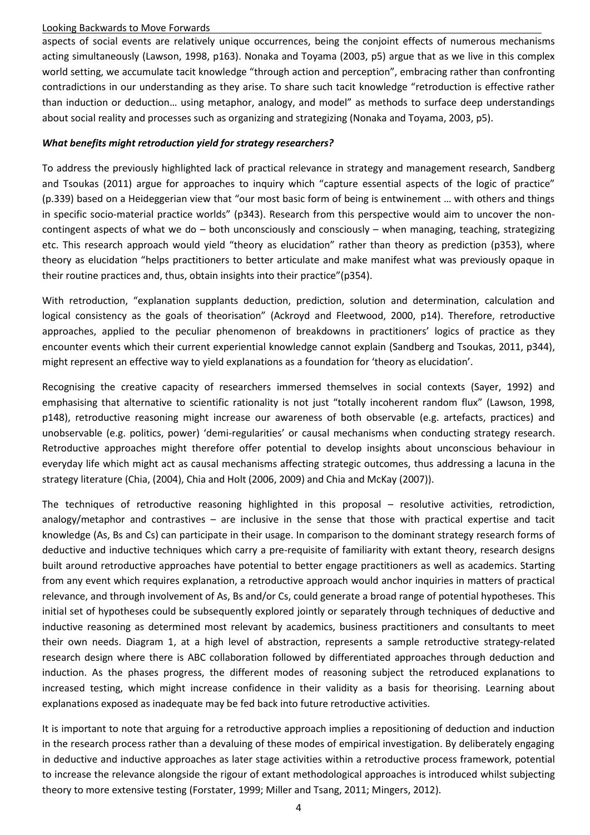aspects of social events are relatively unique occurrences, being the conjoint effects of numerous mechanisms acting simultaneously (Lawson, 1998, p163). Nonaka and Toyama (2003, p5) argue that as we live in this complex world setting, we accumulate tacit knowledge "through action and perception", embracing rather than confronting contradictions in our understanding as they arise. To share such tacit knowledge "retroduction is effective rather than induction or deduction… using metaphor, analogy, and model" as methods to surface deep understandings about social reality and processes such as organizing and strategizing (Nonaka and Toyama, 2003, p5).

## *What benefits might retroduction yield for strategy researchers?*

To address the previously highlighted lack of practical relevance in strategy and management research, Sandberg and Tsoukas (2011) argue for approaches to inquiry which "capture essential aspects of the logic of practice" (p.339) based on a Heideggerian view that "our most basic form of being is entwinement … with others and things in specific socio-material practice worlds" (p343). Research from this perspective would aim to uncover the noncontingent aspects of what we do – both unconsciously and consciously – when managing, teaching, strategizing etc. This research approach would yield "theory as elucidation" rather than theory as prediction (p353), where theory as elucidation "helps practitioners to better articulate and make manifest what was previously opaque in their routine practices and, thus, obtain insights into their practice"(p354).

With retroduction, "explanation supplants deduction, prediction, solution and determination, calculation and logical consistency as the goals of theorisation" (Ackroyd and Fleetwood, 2000, p14). Therefore, retroductive approaches, applied to the peculiar phenomenon of breakdowns in practitioners' logics of practice as they encounter events which their current experiential knowledge cannot explain (Sandberg and Tsoukas, 2011, p344), might represent an effective way to yield explanations as a foundation for 'theory as elucidation'.

Recognising the creative capacity of researchers immersed themselves in social contexts (Sayer, 1992) and emphasising that alternative to scientific rationality is not just "totally incoherent random flux" (Lawson, 1998, p148), retroductive reasoning might increase our awareness of both observable (e.g. artefacts, practices) and unobservable (e.g. politics, power) 'demi-regularities' or causal mechanisms when conducting strategy research. Retroductive approaches might therefore offer potential to develop insights about unconscious behaviour in everyday life which might act as causal mechanisms affecting strategic outcomes, thus addressing a lacuna in the strategy literature (Chia, (2004), Chia and Holt (2006, 2009) and Chia and McKay (2007)).

The techniques of retroductive reasoning highlighted in this proposal – resolutive activities, retrodiction, analogy/metaphor and contrastives – are inclusive in the sense that those with practical expertise and tacit knowledge (As, Bs and Cs) can participate in their usage. In comparison to the dominant strategy research forms of deductive and inductive techniques which carry a pre-requisite of familiarity with extant theory, research designs built around retroductive approaches have potential to better engage practitioners as well as academics. Starting from any event which requires explanation, a retroductive approach would anchor inquiries in matters of practical relevance, and through involvement of As, Bs and/or Cs, could generate a broad range of potential hypotheses. This initial set of hypotheses could be subsequently explored jointly or separately through techniques of deductive and inductive reasoning as determined most relevant by academics, business practitioners and consultants to meet their own needs. Diagram 1, at a high level of abstraction, represents a sample retroductive strategy-related research design where there is ABC collaboration followed by differentiated approaches through deduction and induction. As the phases progress, the different modes of reasoning subject the retroduced explanations to increased testing, which might increase confidence in their validity as a basis for theorising. Learning about explanations exposed as inadequate may be fed back into future retroductive activities.

It is important to note that arguing for a retroductive approach implies a repositioning of deduction and induction in the research process rather than a devaluing of these modes of empirical investigation. By deliberately engaging in deductive and inductive approaches as later stage activities within a retroductive process framework, potential to increase the relevance alongside the rigour of extant methodological approaches is introduced whilst subjecting theory to more extensive testing (Forstater, 1999; Miller and Tsang, 2011; Mingers, 2012).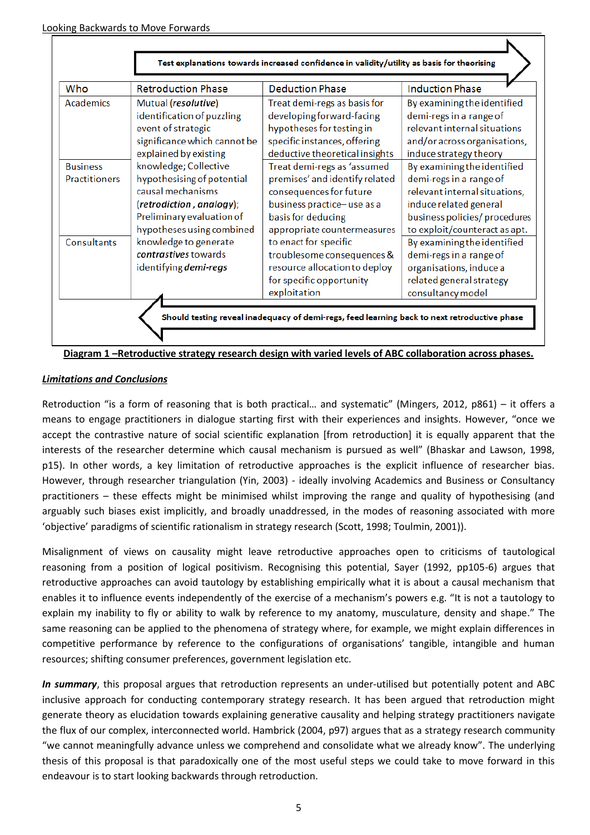| Who                  | <b>Retroduction Phase</b>    | <b>Deduction Phase</b>         | <b>Induction Phase</b>        |
|----------------------|------------------------------|--------------------------------|-------------------------------|
| Academics            | Mutual (resolutive)          | Treat demi-regs as basis for   | By examining the identified   |
|                      | identification of puzzling   | developing forward-facing      | demi-regs in a range of       |
|                      | event of strategic           | hypotheses for testing in      | relevant internal situations  |
|                      | significance which cannot be | specific instances, offering   | and/or across organisations,  |
|                      | explained by existing        | deductive theoretical insights | induce strategy theory        |
| <b>Business</b>      | knowledge; Collective        | Treat demi-regs as 'assumed    | By examining the identified   |
| <b>Practitioners</b> | hypothesising of potential   | premises' and identify related | demi-regs in a range of       |
|                      | causal mechanisms            | consequences for future        | relevant internal situations, |
|                      | (retrodiction, analogy);     | business practice-use as a     | induce related general        |
|                      | Preliminary evaluation of    | basis for deducing             | business policies/ procedures |
|                      | hypotheses using combined    | appropriate countermeasures    | to exploit/counteract as apt. |
| Consultants          | knowledge to generate        | to enact for specific          | By examining the identified   |
|                      | contrastives towards         | troublesome consequences &     | demi-regs in a range of       |
|                      | identifying demi-regs        | resource allocation to deploy  | organisations, induce a       |
|                      |                              | for specific opportunity       | related general strategy      |
|                      |                              | exploitation                   | consultancy model             |
|                      |                              |                                |                               |

 $\mathbf{r}$ 



## *Limitations and Conclusions*

Retroduction "is a form of reasoning that is both practical… and systematic" (Mingers, 2012, p861) – it offers a means to engage practitioners in dialogue starting first with their experiences and insights. However, "once we accept the contrastive nature of social scientific explanation [from retroduction] it is equally apparent that the interests of the researcher determine which causal mechanism is pursued as well" (Bhaskar and Lawson, 1998, p15). In other words, a key limitation of retroductive approaches is the explicit influence of researcher bias. However, through researcher triangulation (Yin, 2003) - ideally involving Academics and Business or Consultancy practitioners – these effects might be minimised whilst improving the range and quality of hypothesising (and arguably such biases exist implicitly, and broadly unaddressed, in the modes of reasoning associated with more 'objective' paradigms of scientific rationalism in strategy research (Scott, 1998; Toulmin, 2001)).

Misalignment of views on causality might leave retroductive approaches open to criticisms of tautological reasoning from a position of logical positivism. Recognising this potential, Sayer (1992, pp105-6) argues that retroductive approaches can avoid tautology by establishing empirically what it is about a causal mechanism that enables it to influence events independently of the exercise of a mechanism's powers e.g. "It is not a tautology to explain my inability to fly or ability to walk by reference to my anatomy, musculature, density and shape." The same reasoning can be applied to the phenomena of strategy where, for example, we might explain differences in competitive performance by reference to the configurations of organisations' tangible, intangible and human resources; shifting consumer preferences, government legislation etc.

*In summary*, this proposal argues that retroduction represents an under-utilised but potentially potent and ABC inclusive approach for conducting contemporary strategy research. It has been argued that retroduction might generate theory as elucidation towards explaining generative causality and helping strategy practitioners navigate the flux of our complex, interconnected world. Hambrick (2004, p97) argues that as a strategy research community "we cannot meaningfully advance unless we comprehend and consolidate what we already know". The underlying thesis of this proposal is that paradoxically one of the most useful steps we could take to move forward in this endeavour is to start looking backwards through retroduction.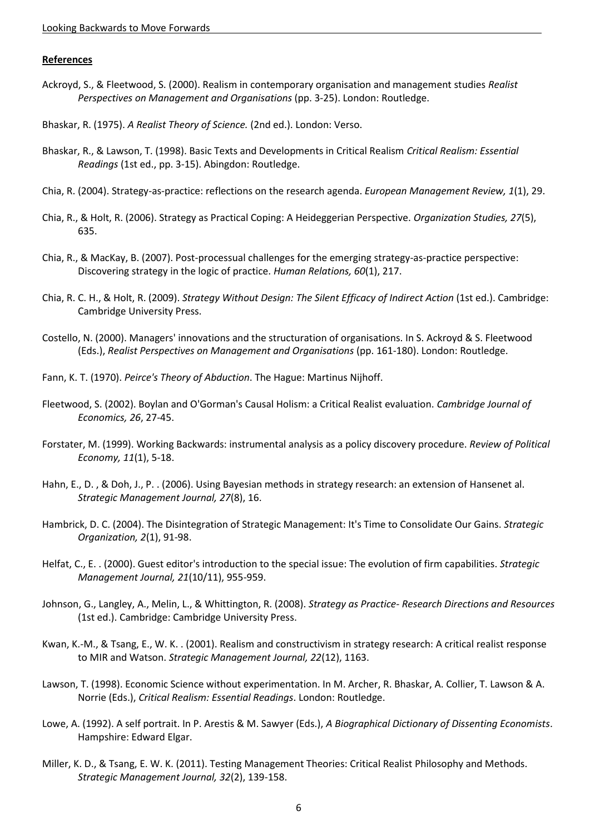#### **References**

- Ackroyd, S., & Fleetwood, S. (2000). Realism in contemporary organisation and management studies *Realist Perspectives on Management and Organisations* (pp. 3-25). London: Routledge.
- Bhaskar, R. (1975). *A Realist Theory of Science.* (2nd ed.). London: Verso.
- Bhaskar, R., & Lawson, T. (1998). Basic Texts and Developments in Critical Realism *Critical Realism: Essential Readings* (1st ed., pp. 3-15). Abingdon: Routledge.
- Chia, R. (2004). Strategy-as-practice: reflections on the research agenda. *European Management Review, 1*(1), 29.
- Chia, R., & Holt, R. (2006). Strategy as Practical Coping: A Heideggerian Perspective. *Organization Studies, 27*(5), 635.
- Chia, R., & MacKay, B. (2007). Post-processual challenges for the emerging strategy-as-practice perspective: Discovering strategy in the logic of practice. *Human Relations, 60*(1), 217.
- Chia, R. C. H., & Holt, R. (2009). *Strategy Without Design: The Silent Efficacy of Indirect Action* (1st ed.). Cambridge: Cambridge University Press.
- Costello, N. (2000). Managers' innovations and the structuration of organisations. In S. Ackroyd & S. Fleetwood (Eds.), *Realist Perspectives on Management and Organisations* (pp. 161-180). London: Routledge.
- Fann, K. T. (1970). *Peirce's Theory of Abduction*. The Hague: Martinus Nijhoff.
- Fleetwood, S. (2002). Boylan and O'Gorman's Causal Holism: a Critical Realist evaluation. *Cambridge Journal of Economics, 26*, 27-45.
- Forstater, M. (1999). Working Backwards: instrumental analysis as a policy discovery procedure. *Review of Political Economy, 11*(1), 5-18.
- Hahn, E., D. , & Doh, J., P. . (2006). Using Bayesian methods in strategy research: an extension of Hansenet al. *Strategic Management Journal, 27*(8), 16.
- Hambrick, D. C. (2004). The Disintegration of Strategic Management: It's Time to Consolidate Our Gains. *Strategic Organization, 2*(1), 91-98.
- Helfat, C., E. . (2000). Guest editor's introduction to the special issue: The evolution of firm capabilities. *Strategic Management Journal, 21*(10/11), 955-959.
- Johnson, G., Langley, A., Melin, L., & Whittington, R. (2008). *Strategy as Practice- Research Directions and Resources* (1st ed.). Cambridge: Cambridge University Press.
- Kwan, K.-M., & Tsang, E., W. K. . (2001). Realism and constructivism in strategy research: A critical realist response to MIR and Watson. *Strategic Management Journal, 22*(12), 1163.
- Lawson, T. (1998). Economic Science without experimentation. In M. Archer, R. Bhaskar, A. Collier, T. Lawson & A. Norrie (Eds.), *Critical Realism: Essential Readings*. London: Routledge.
- Lowe, A. (1992). A self portrait. In P. Arestis & M. Sawyer (Eds.), *A Biographical Dictionary of Dissenting Economists*. Hampshire: Edward Elgar.
- Miller, K. D., & Tsang, E. W. K. (2011). Testing Management Theories: Critical Realist Philosophy and Methods. *Strategic Management Journal, 32*(2), 139-158.